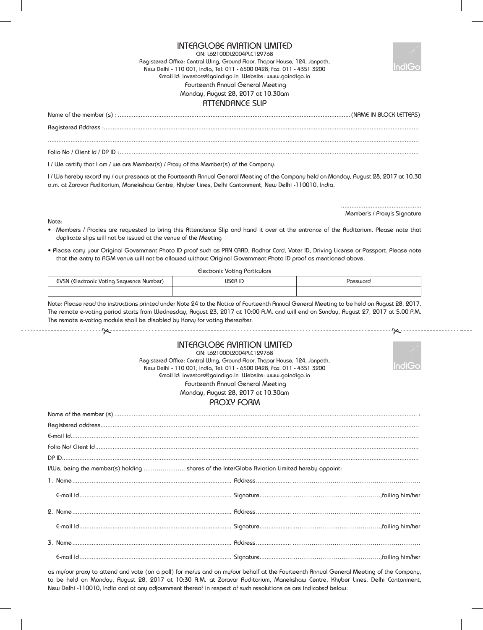## INTERGLOBE AVIATION LIMITED

CIN: L62100DL2004PLC129768 Registered Office: Central Wing, Ground Floor, Thapar House, 124, Janpath, New Delhi - 110 001, India, Tel: 011 - 6500 0428; Fax: 011 - 4351 3200 Email Id: investors@goindigo.in Website: www.goindigo.in Fourteenth Annual General Meeting Monday, August 28, 2017 at 10.30am

## ATTENDANCE SLIP

Registered Address :.................................................................................................................................................................................... ....................................................................................................................................................................................................................

Name of the member (s) : .....................................................................................................................................(NAME IN BLOCK LETTERS)

.............................................. Member's / Proxy's Signature

Folio No / Client Id / DP ID :...........................................................................................................................................................................

I / We certify that I am / we are Member(s) / Proxy of the Member(s) of the Company.

I / We hereby record my / our presence at the Fourteenth Annual General Meeting of the Company held on Monday, August 28, 2017 at 10.30 a.m. at Zoravar Auditorium, Manekshaw Centre, Khyber Lines, Delhi Cantonment, New Delhi -110010, India.

Note:

- Members / Proxies are requested to bring this Attendance Slip and hand it over at the entrance of the Auditorium. Please note that duplicate slips will not be issued at the venue of the Meeting
- Please carry your Original Government Photo ID proof such as PAN CARD, Aadhar Card, Voter ID, Driving License or Passport. Please note that the entry to AGM venue will not be allowed without Original Government Photo ID proof as mentioned above.

Electronic Voting Particulars

| $\sim$<br>VSN.<br>(Electronic Voting Sequence Number)<br>- - - - - | <b>ICCO</b><br>- 15<br>-11. | אמווואר |
|--------------------------------------------------------------------|-----------------------------|---------|
|                                                                    |                             |         |

Note: Please read the instructions printed under Note 24 to the Notice of Fourteenth Annual General Meeting to be held on August 28, 2017. The remote e-voting period starts from Wednesday, August 23, 2017 at 10:00 A.M. and will end on Sunday, August 27, 2017 at 5.00 P.M. The remote e-voting module shall be disabled by Karvy for voting thereafter.

| <b>INTERGLOBE AVIATION LIMITED</b><br>CIN: L62100DL2004PLC129768<br>Registered Office: Central Wing, Ground Floor, Thapar House, 124, Janpath,<br>New Delhi - 110 001, India, Tel: 011 - 6500 0428; Fax: 011 - 4351 3200<br>Email Id: investors@goindigo.in Website: www.goindigo.in<br>Fourteenth Annual General Meeting<br>Monday, August 28, 2017 at 10.30am |  |
|-----------------------------------------------------------------------------------------------------------------------------------------------------------------------------------------------------------------------------------------------------------------------------------------------------------------------------------------------------------------|--|
| PROXY FORM                                                                                                                                                                                                                                                                                                                                                      |  |
|                                                                                                                                                                                                                                                                                                                                                                 |  |
|                                                                                                                                                                                                                                                                                                                                                                 |  |
|                                                                                                                                                                                                                                                                                                                                                                 |  |
|                                                                                                                                                                                                                                                                                                                                                                 |  |
|                                                                                                                                                                                                                                                                                                                                                                 |  |
| I/We, being the member(s) holding  shares of the InterGlobe Aviation Limited hereby appoint:                                                                                                                                                                                                                                                                    |  |
|                                                                                                                                                                                                                                                                                                                                                                 |  |
|                                                                                                                                                                                                                                                                                                                                                                 |  |
|                                                                                                                                                                                                                                                                                                                                                                 |  |
|                                                                                                                                                                                                                                                                                                                                                                 |  |
|                                                                                                                                                                                                                                                                                                                                                                 |  |
|                                                                                                                                                                                                                                                                                                                                                                 |  |

as my/our proxy to attend and vote (on a poll) for me/us and on my/our behalf at the Fourteenth Annual General Meeting of the Company, to be held on Monday, August 28, 2017 at 10:30 A.M. at Zoravar Auditorium, Manekshaw Centre, Khyber Lines, Delhi Cantonment, New Delhi -110010, India and at any adjournment thereof in respect of such resolutions as are indicated below: